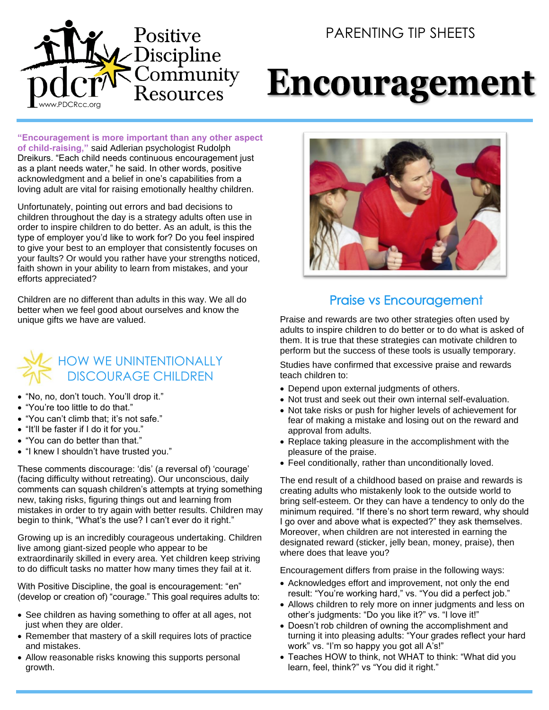## PARENTING TIP SHEETS



# **Encouragement**

**"Encouragement is more important than any other aspect of child-raising,"** said Adlerian psychologist Rudolph Dreikurs. "Each child needs continuous encouragement just as a plant needs water," he said. In other words, positive acknowledgment and a belief in one's capabilities from a loving adult are vital for raising emotionally healthy children.

Unfortunately, pointing out errors and bad decisions to children throughout the day is a strategy adults often use in order to inspire children to do better. As an adult, is this the type of employer you'd like to work for? Do you feel inspired to give your best to an employer that consistently focuses on your faults? Or would you rather have your strengths noticed, faith shown in your ability to learn from mistakes, and your efforts appreciated?

Children are no different than adults in this way. We all do better when we feel good about ourselves and know the unique gifts we have are valued.



- "No, no, don't touch. You'll drop it."
- "You're too little to do that."
- "You can't climb that; it's not safe."
- "It'll be faster if I do it for you."
- "You can do better than that."
- "I knew I shouldn't have trusted you."

These comments discourage: 'dis' (a reversal of) 'courage' (facing difficulty without retreating). Our unconscious, daily comments can squash children's attempts at trying something new, taking risks, figuring things out and learning from mistakes in order to try again with better results. Children may begin to think, "What's the use? I can't ever do it right."

Growing up is an incredibly courageous undertaking. Children live among giant-sized people who appear to be extraordinarily skilled in every area. Yet children keep striving to do difficult tasks no matter how many times they fail at it.

With Positive Discipline, the goal is encouragement: "en" (develop or creation of) "courage." This goal requires adults to:

- See children as having something to offer at all ages, not just when they are older.
- Remember that mastery of a skill requires lots of practice and mistakes.
- Allow reasonable risks knowing this supports personal growth.



#### Praise vs Encouragement

Praise and rewards are two other strategies often used by adults to inspire children to do better or to do what is asked of them. It is true that these strategies can motivate children to perform but the success of these tools is usually temporary.

Studies have confirmed that excessive praise and rewards teach children to:

- Depend upon external judgments of others.
- Not trust and seek out their own internal self-evaluation.
- Not take risks or push for higher levels of achievement for fear of making a mistake and losing out on the reward and approval from adults.
- Replace taking pleasure in the accomplishment with the pleasure of the praise.
- Feel conditionally, rather than unconditionally loved.

The end result of a childhood based on praise and rewards is creating adults who mistakenly look to the outside world to bring self-esteem. Or they can have a tendency to only do the minimum required. "If there's no short term reward, why should I go over and above what is expected?" they ask themselves. Moreover, when children are not interested in earning the designated reward (sticker, jelly bean, money, praise), then where does that leave you?

Encouragement differs from praise in the following ways:

- Acknowledges effort and improvement, not only the end result: "You're working hard," vs. "You did a perfect job."
- Allows children to rely more on inner judgments and less on other's judgments: "Do you like it?" vs. "I love it!"
- Doesn't rob children of owning the accomplishment and turning it into pleasing adults: "Your grades reflect your hard work" vs. "I'm so happy you got all A's!"
- Teaches HOW to think, not WHAT to think: "What did you learn, feel, think?" vs "You did it right."